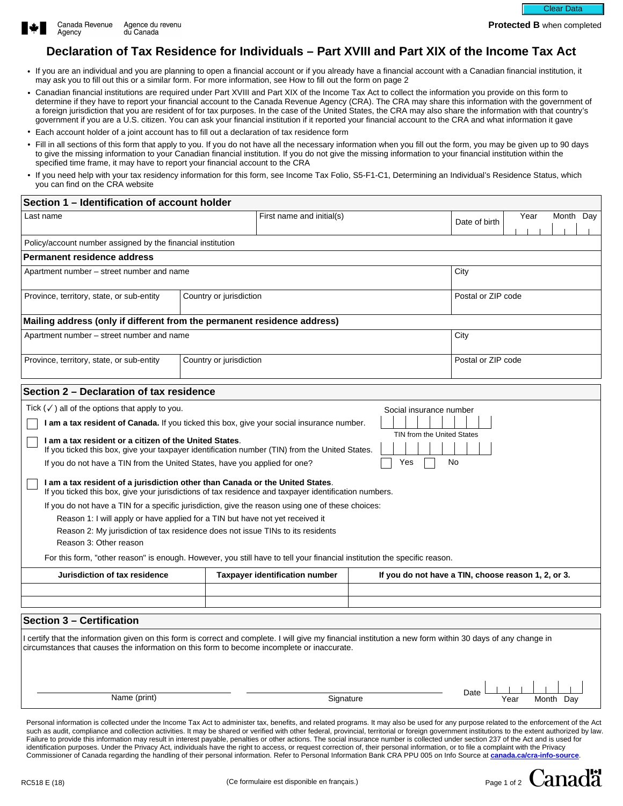

**Protected B** when completed

# **Declaration of Tax Residence for Individuals – Part XVIII and Part XIX of the Income Tax Act**

- If you are an individual and you are planning to open a financial account or if you already have a financial account with a Canadian financial institution, it may ask you to fill out this or a similar form. For more information, see How to fill out the form on page 2
- Canadian financial institutions are required under Part XVIII and Part XIX of the Income Tax Act to collect the information you provide on this form to determine if they have to report your financial account to the Canada Revenue Agency (CRA). The CRA may share this information with the government of a foreign jurisdiction that you are resident of for tax purposes. In the case of the United States, the CRA may also share the information with that country's government if you are a U.S. citizen. You can ask your financial institution if it reported your financial account to the CRA and what information it gave
- Each account holder of a joint account has to fill out a declaration of tax residence form
- Fill in all sections of this form that apply to you. If you do not have all the necessary information when you fill out the form, you may be given up to 90 days to give the missing information to your Canadian financial institution. If you do not give the missing information to your financial institution within the specified time frame, it may have to report your financial account to the CRA
- If you need help with your tax residency information for this form, see Income Tax Folio, S5-F1-C1, Determining an Individual's Residence Status, which you can find on the CRA website

| Section 1 - Identification of account holder                                                                                                                                                                                                                                                                                                                                                                                                                                                                                                                                                                                                                                                                                                                                                                                                                                                                                                                                                                                                                                                    |                                       |                          |                                                     |
|-------------------------------------------------------------------------------------------------------------------------------------------------------------------------------------------------------------------------------------------------------------------------------------------------------------------------------------------------------------------------------------------------------------------------------------------------------------------------------------------------------------------------------------------------------------------------------------------------------------------------------------------------------------------------------------------------------------------------------------------------------------------------------------------------------------------------------------------------------------------------------------------------------------------------------------------------------------------------------------------------------------------------------------------------------------------------------------------------|---------------------------------------|--------------------------|-----------------------------------------------------|
| Last name                                                                                                                                                                                                                                                                                                                                                                                                                                                                                                                                                                                                                                                                                                                                                                                                                                                                                                                                                                                                                                                                                       | First name and initial(s)             |                          | Year<br>Month Day<br>Date of birth                  |
| Policy/account number assigned by the financial institution                                                                                                                                                                                                                                                                                                                                                                                                                                                                                                                                                                                                                                                                                                                                                                                                                                                                                                                                                                                                                                     |                                       |                          |                                                     |
| <b>Permanent residence address</b>                                                                                                                                                                                                                                                                                                                                                                                                                                                                                                                                                                                                                                                                                                                                                                                                                                                                                                                                                                                                                                                              |                                       |                          |                                                     |
| Apartment number – street number and name                                                                                                                                                                                                                                                                                                                                                                                                                                                                                                                                                                                                                                                                                                                                                                                                                                                                                                                                                                                                                                                       |                                       |                          | City                                                |
| Province, territory, state, or sub-entity<br>$\overline{\mathbf{v}}$                                                                                                                                                                                                                                                                                                                                                                                                                                                                                                                                                                                                                                                                                                                                                                                                                                                                                                                                                                                                                            | Country or jurisdiction               | $\overline{\mathbf{v}}$  | Postal or ZIP code                                  |
| Mailing address (only if different from the permanent residence address)                                                                                                                                                                                                                                                                                                                                                                                                                                                                                                                                                                                                                                                                                                                                                                                                                                                                                                                                                                                                                        |                                       |                          |                                                     |
| Apartment number – street number and name                                                                                                                                                                                                                                                                                                                                                                                                                                                                                                                                                                                                                                                                                                                                                                                                                                                                                                                                                                                                                                                       |                                       |                          | City                                                |
| Province, territory, state, or sub-entity<br>$\blacktriangleright$                                                                                                                                                                                                                                                                                                                                                                                                                                                                                                                                                                                                                                                                                                                                                                                                                                                                                                                                                                                                                              | Country or jurisdiction               | $\overline{\phantom{a}}$ | Postal or ZIP code                                  |
| Section 2 - Declaration of tax residence                                                                                                                                                                                                                                                                                                                                                                                                                                                                                                                                                                                                                                                                                                                                                                                                                                                                                                                                                                                                                                                        |                                       |                          |                                                     |
| Tick $(\checkmark)$ all of the options that apply to you.<br>Social insurance number<br>I am a tax resident of Canada. If you ticked this box, give your social insurance number.<br>TIN from the United States<br>I am a tax resident or a citizen of the United States.<br>If you ticked this box, give your taxpayer identification number (TIN) from the United States.<br>Yes<br>No<br>If you do not have a TIN from the United States, have you applied for one?<br>I am a tax resident of a jurisdiction other than Canada or the United States.<br>If you ticked this box, give your jurisdictions of tax residence and taxpayer identification numbers.<br>If you do not have a TIN for a specific jurisdiction, give the reason using one of these choices:<br>Reason 1: I will apply or have applied for a TIN but have not yet received it<br>Reason 2: My jurisdiction of tax residence does not issue TINs to its residents<br>Reason 3: Other reason<br>For this form, "other reason" is enough. However, you still have to tell your financial institution the specific reason. |                                       |                          |                                                     |
| Jurisdiction of tax residence                                                                                                                                                                                                                                                                                                                                                                                                                                                                                                                                                                                                                                                                                                                                                                                                                                                                                                                                                                                                                                                                   | <b>Taxpayer identification number</b> |                          | If you do not have a TIN, choose reason 1, 2, or 3. |
|                                                                                                                                                                                                                                                                                                                                                                                                                                                                                                                                                                                                                                                                                                                                                                                                                                                                                                                                                                                                                                                                                                 | $\vert \blacktriangledown \vert$      |                          | $\blacktriangleright$                               |
|                                                                                                                                                                                                                                                                                                                                                                                                                                                                                                                                                                                                                                                                                                                                                                                                                                                                                                                                                                                                                                                                                                 | $\overline{\mathbf{v}}$               |                          | $\overline{\phantom{a}}$                            |
| Section 3 - Certification                                                                                                                                                                                                                                                                                                                                                                                                                                                                                                                                                                                                                                                                                                                                                                                                                                                                                                                                                                                                                                                                       |                                       |                          |                                                     |
| I certify that the information given on this form is correct and complete. I will give my financial institution a new form within 30 days of any change in<br>circumstances that causes the information on this form to become incomplete or inaccurate.                                                                                                                                                                                                                                                                                                                                                                                                                                                                                                                                                                                                                                                                                                                                                                                                                                        |                                       |                          |                                                     |
| Name (print)                                                                                                                                                                                                                                                                                                                                                                                                                                                                                                                                                                                                                                                                                                                                                                                                                                                                                                                                                                                                                                                                                    | Signature                             |                          | Date<br>Year<br>Month Day                           |

Personal information is collected under the Income Tax Act to administer tax, benefits, and related programs. It may also be used for any purpose related to the enforcement of the Act such as audit, compliance and collection activities. It may be shared or verified with other federal, provincial, territorial or foreign government institutions to the extent authorized by law. Failure to provide this information may result in interest payable, penalties or other actions. The social insurance number is collected under section 237 of the Act and is used for identification purposes. Under the Privacy Act, individuals have the right to access, or request correction of, their personal information, or to file a complaint with the Privacy Commissioner of Canada regarding the handling of their personal information. Refer to Personal Information Bank CRA PPU 005 on Info Source at **[canada.ca/cra-info-source](https://www.canada.ca/en/revenue-agency/corporate/about-canada-revenue-agency-cra/access-information-privacy-canada-revenue-agency/info-source-sources-federal-government-employee-information.html?utm_campaign=not-applicable&utm_medium=vanity-url&utm_source=canada-ca_cra-info-source)**.